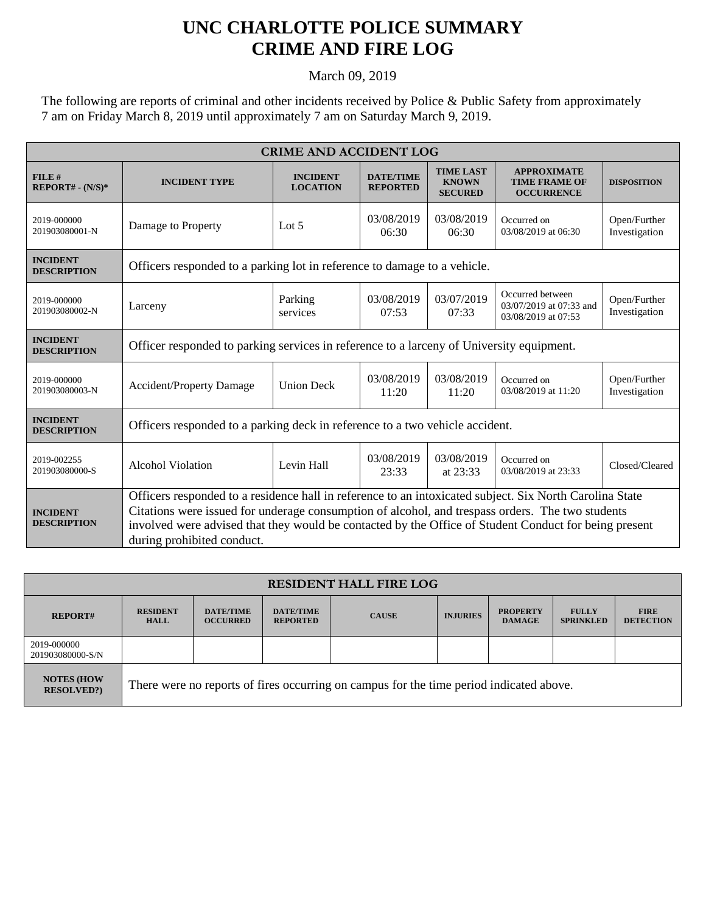## **UNC CHARLOTTE POLICE SUMMARY CRIME AND FIRE LOG**

March 09, 2019

The following are reports of criminal and other incidents received by Police & Public Safety from approximately 7 am on Friday March 8, 2019 until approximately 7 am on Saturday March 9, 2019.

| <b>CRIME AND ACCIDENT LOG</b>         |                                                                                                                                                                                                                                                                                                                                                    |                                    |                                     |                                                    |                                                                    |                               |  |
|---------------------------------------|----------------------------------------------------------------------------------------------------------------------------------------------------------------------------------------------------------------------------------------------------------------------------------------------------------------------------------------------------|------------------------------------|-------------------------------------|----------------------------------------------------|--------------------------------------------------------------------|-------------------------------|--|
| FILE#<br>$REPORT# - (N/S)*$           | <b>INCIDENT TYPE</b>                                                                                                                                                                                                                                                                                                                               | <b>INCIDENT</b><br><b>LOCATION</b> | <b>DATE/TIME</b><br><b>REPORTED</b> | <b>TIME LAST</b><br><b>KNOWN</b><br><b>SECURED</b> | <b>APPROXIMATE</b><br><b>TIME FRAME OF</b><br><b>OCCURRENCE</b>    | <b>DISPOSITION</b>            |  |
| 2019-000000<br>201903080001-N         | Damage to Property                                                                                                                                                                                                                                                                                                                                 | Lot $5$                            | 03/08/2019<br>06:30                 | 03/08/2019<br>06:30                                | Occurred on<br>03/08/2019 at 06:30                                 | Open/Further<br>Investigation |  |
| <b>INCIDENT</b><br><b>DESCRIPTION</b> | Officers responded to a parking lot in reference to damage to a vehicle.                                                                                                                                                                                                                                                                           |                                    |                                     |                                                    |                                                                    |                               |  |
| 2019-000000<br>201903080002-N         | Larceny                                                                                                                                                                                                                                                                                                                                            | Parking<br>services                | 03/08/2019<br>07:53                 | 03/07/2019<br>07:33                                | Occurred between<br>03/07/2019 at 07:33 and<br>03/08/2019 at 07:53 | Open/Further<br>Investigation |  |
| <b>INCIDENT</b><br><b>DESCRIPTION</b> | Officer responded to parking services in reference to a larceny of University equipment.                                                                                                                                                                                                                                                           |                                    |                                     |                                                    |                                                                    |                               |  |
| 2019-000000<br>201903080003-N         | <b>Accident/Property Damage</b>                                                                                                                                                                                                                                                                                                                    | <b>Union Deck</b>                  | 03/08/2019<br>11:20                 | 03/08/2019<br>11:20                                | Occurred on<br>03/08/2019 at 11:20                                 | Open/Further<br>Investigation |  |
| <b>INCIDENT</b><br><b>DESCRIPTION</b> | Officers responded to a parking deck in reference to a two vehicle accident.                                                                                                                                                                                                                                                                       |                                    |                                     |                                                    |                                                                    |                               |  |
| 2019-002255<br>201903080000-S         | <b>Alcohol Violation</b>                                                                                                                                                                                                                                                                                                                           | Levin Hall                         | 03/08/2019<br>23:33                 | 03/08/2019<br>at 23:33                             | Occurred on<br>03/08/2019 at 23:33                                 | Closed/Cleared                |  |
| <b>INCIDENT</b><br><b>DESCRIPTION</b> | Officers responded to a residence hall in reference to an intoxicated subject. Six North Carolina State<br>Citations were issued for underage consumption of alcohol, and trespass orders. The two students<br>involved were advised that they would be contacted by the Office of Student Conduct for being present<br>during prohibited conduct. |                                    |                                     |                                                    |                                                                    |                               |  |

| <b>RESIDENT HALL FIRE LOG</b>         |                                                                                         |                                     |                                     |              |                 |                                  |                                  |                                 |
|---------------------------------------|-----------------------------------------------------------------------------------------|-------------------------------------|-------------------------------------|--------------|-----------------|----------------------------------|----------------------------------|---------------------------------|
| <b>REPORT#</b>                        | <b>RESIDENT</b><br><b>HALL</b>                                                          | <b>DATE/TIME</b><br><b>OCCURRED</b> | <b>DATE/TIME</b><br><b>REPORTED</b> | <b>CAUSE</b> | <b>INJURIES</b> | <b>PROPERTY</b><br><b>DAMAGE</b> | <b>FULLY</b><br><b>SPRINKLED</b> | <b>FIRE</b><br><b>DETECTION</b> |
| 2019-000000<br>201903080000-S/N       |                                                                                         |                                     |                                     |              |                 |                                  |                                  |                                 |
| <b>NOTES (HOW</b><br><b>RESOLVED?</b> | There were no reports of fires occurring on campus for the time period indicated above. |                                     |                                     |              |                 |                                  |                                  |                                 |